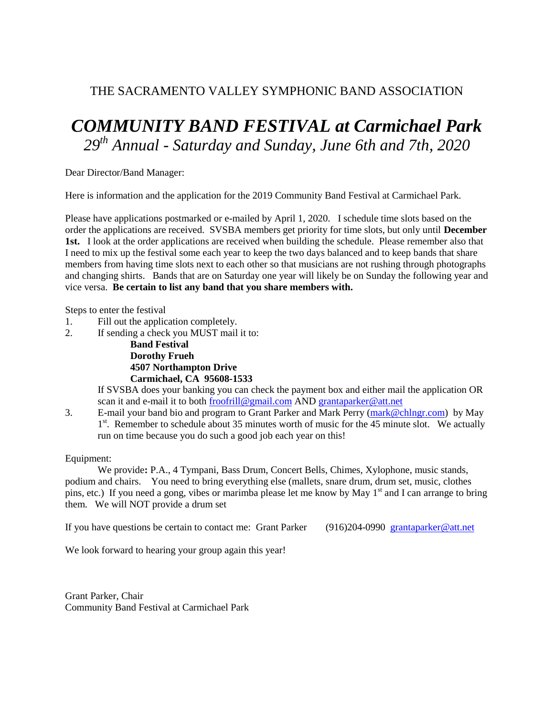## THE SACRAMENTO VALLEY SYMPHONIC BAND ASSOCIATION

## *COMMUNITY BAND FESTIVAL at Carmichael Park 29 th Annual - Saturday and Sunday, June 6th and 7th, 2020*

Dear Director/Band Manager:

Here is information and the application for the 2019 Community Band Festival at Carmichael Park.

Please have applications postmarked or e-mailed by April 1, 2020. I schedule time slots based on the order the applications are received. SVSBA members get priority for time slots, but only until **December 1st.** I look at the order applications are received when building the schedule. Please remember also that I need to mix up the festival some each year to keep the two days balanced and to keep bands that share members from having time slots next to each other so that musicians are not rushing through photographs and changing shirts. Bands that are on Saturday one year will likely be on Sunday the following year and vice versa. **Be certain to list any band that you share members with.**

Steps to enter the festival

- 1. Fill out the application completely.
- 2. If sending a check you MUST mail it to:

**Band Festival Dorothy Frueh 4507 Northampton Drive Carmichael, CA 95608-1533**

If SVSBA does your banking you can check the payment box and either mail the application OR scan it and e-mail it to both froofrill@gmail.com AND grantaparker@att.net

3. E-mail your band bio and program to Grant Parker and Mark Perry (mark@chlngr.com) by May 1<sup>st</sup>. Remember to schedule about 35 minutes worth of music for the 45 minute slot. We actually run on time because you do such a good job each year on this!

Equipment:

We provide**:** P.A., 4 Tympani, Bass Drum, Concert Bells, Chimes, Xylophone, music stands, podium and chairs. You need to bring everything else (mallets, snare drum, drum set, music, clothes pins, etc.) If you need a gong, vibes or marimba please let me know by May  $1<sup>st</sup>$  and I can arrange to bring them. We will NOT provide a drum set

If you have questions be certain to contact me: Grant Parker (916)204-0990 grantaparker@att.net

We look forward to hearing your group again this year!

Grant Parker, Chair Community Band Festival at Carmichael Park